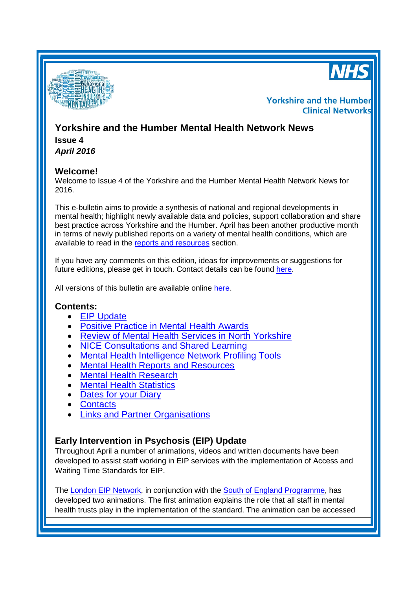



# **Yorkshire and the Humber Clinical Networks**

# **Yorkshire and the Humber Mental Health Network News Issue 4**

*April 2016*

# **Welcome!**

Welcome to Issue 4 of the Yorkshire and the Humber Mental Health Network News for 2016.

This e-bulletin aims to provide a synthesis of national and regional developments in mental health; highlight newly available data and policies, support collaboration and share best practice across Yorkshire and the Humber. April has been another productive month in terms of newly published reports on a variety of mental health conditions, which are available to read in the [reports and resources](#page-2-0) section.

If you have any comments on this edition, ideas for improvements or suggestions for future editions, please get in touch. Contact details can be found [here.](#page-4-0)

All versions of this bulletin are available online [here.](http://www.yhscn.nhs.uk/mental-health-clinic/mental-health-network/MH-documents-and-links.php)

# **Contents:**

- **EIP [Update](#page-0-0)**
- [Positive Practice in Mental Health Awards](#page-1-0)
- **[Review of Mental Health Services in North Yorkshire](#page-1-1)**
- [NICE Consultations and](#page-1-2) Shared Learning
- [Mental Health Intelligence Network Profiling Tools](#page-2-1)
- **[Mental Health Reports](#page-2-0) and Resources**
- **[Mental Health Research](#page-3-0)**
- Mental Health Statistics
- **[Dates for your](#page-0-1) Diary**
- [Contacts](#page-4-0)
- [Links and Partner Organisations](#page-5-0)

# <span id="page-0-1"></span><span id="page-0-0"></span>**Early Intervention in Psychosis (EIP) Update**

Throughout April a number of animations, videos and written documents have been developed to assist staff working in EIP services with the implementation of Access and Waiting Time Standards for EIP.

The [London EIP Network,](https://officelondonccgs.org.uk/eip/) in conjunction with the [South of England Programme,](http://time4recovery.com/) has developed two animations. The first animation explains the role that all staff in mental health trusts play in the implementation of the standard. The animation can be accessed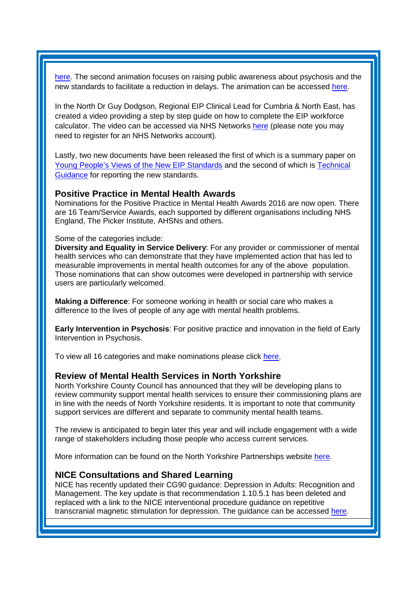[here.](https://officelondonccgs.org.uk/eip/animation-on-the-standard-for-mental-health-trusts/) The second animation focuses on raising public awareness about psychosis and the new standards to facilitate a reduction in delays. The animation can be accessed [here.](https://www.youtube.com/watch?v=hGP_7cEP5cI&feature=youtu.be)

In the North Dr Guy Dodgson, Regional EIP Clinical Lead for Cumbria & North East, has created a video providing a step by step guide on how to complete the EIP workforce calculator. The video can be accessed via NHS Networks [here](https://www.networks.nhs.uk/networks/nhs-networks/early-intervention-in-psychosis-eip-programme-a/documents/workforce/video-webex-completing-the-eip-workforce-calculator) (please note you may need to register for an NHS Networks account).

Lastly, two new documents have been released the first of which is a summary paper on [Young People's Views of the New EIP Standards](https://www.networks.nhs.uk/networks/nhs-networks/early-intervention-in-psychosis-eip-programme-a/documents/summary-paper-young-peoples-views-on-the-new-eip-access-standards) and the second of which is [Technical](https://officelondonccgs.org.uk/eip/resource/eip-standard-technical-guidance-and-faqs/)  [Guidance](https://officelondonccgs.org.uk/eip/resource/eip-standard-technical-guidance-and-faqs/) for reporting the new standards.

## <span id="page-1-0"></span>**Positive Practice in Mental Health Awards**

Nominations for the Positive Practice in Mental Health Awards 2016 are now open. There are 16 Team/Service Awards, each supported by different organisations including NHS England, The Picker Institute, AHSNs and others.

#### Some of the categories include:

**Diversity and Equality in Service Delivery**: For any provider or commissioner of mental health services who can demonstrate that they have implemented action that has led to measurable improvements in mental health outcomes for any of the above population. Those nominations that can show outcomes were developed in partnership with service users are particularly welcomed.

**Making a Difference**: For someone working in health or social care who makes a difference to the lives of people of any age with mental health problems.

**Early Intervention in Psychosis**: For positive practice and innovation in the field of Early Intervention in Psychosis.

To view all 16 categories and make nominations please click [here.](http://positivepracticemh.com/positive-practice-awards-2016/)

### <span id="page-1-1"></span>**Review of Mental Health Services in North Yorkshire**

North Yorkshire County Council has announced that they will be developing plans to review community support mental health services to ensure their commissioning plans are in line with the needs of North Yorkshire residents. It is important to note that community support services are different and separate to community mental health teams.

The review is anticipated to begin later this year and will include engagement with a wide range of stakeholders including those people who access current services.

More information can be found on the North Yorkshire Partnerships website [here.](http://www.nypartnerships.org.uk/mhservicesreview)

## <span id="page-1-2"></span>**NICE Consultations and Shared Learning**

NICE has recently updated their CG90 guidance: Depression in Adults: Recognition and Management. The key update is that recommendation 1.10.5.1 has been deleted and replaced with a link to the NICE interventional procedure guidance on repetitive transcranial magnetic stimulation for depression. The guidance can be accessed [here.](https://www.nice.org.uk/guidance/CG90/chapter/7-Update-information)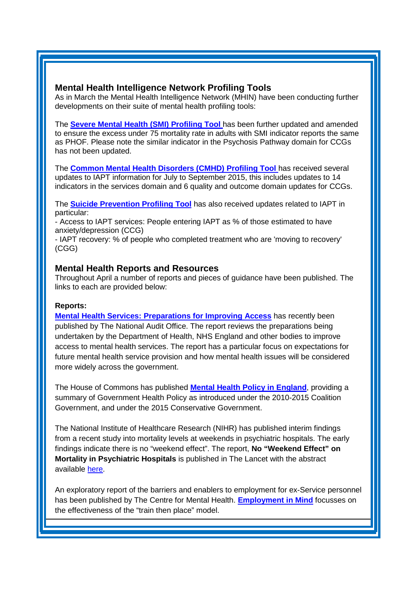## <span id="page-2-1"></span>**Mental Health Intelligence Network Profiling Tools**

As in March the Mental Health Intelligence Network (MHIN) have been conducting further developments on their suite of mental health profiling tools:

The **[Severe Mental Health \(SMI\) Profiling Tool](http://fingertips.phe.org.uk/profile-group/mental-health/profile/severe-mental-illness)** has been further updated and amended to ensure the excess under 75 mortality rate in adults with SMI indicator reports the same as PHOF. Please note the similar indicator in the Psychosis Pathway domain for CCGs has not been updated.

The **[Common Mental Health Disorders \(CMHD\) Profiling Tool](http://fingertips.phe.org.uk/profile-group/mental-health/profile/common-mental-disorders)** has received several updates to IAPT information for July to September 2015, this includes updates to 14 indicators in the services domain and 6 quality and outcome domain updates for CCGs.

The **[Suicide Prevention Profiling Tool](http://fingertips.phe.org.uk/profile-group/mental-health/profile/suicide)** has also received updates related to IAPT in particular:

- Access to IAPT services: People entering IAPT as % of those estimated to have anxiety/depression (CCG)

- IAPT recovery: % of people who completed treatment who are 'moving to recovery' (CGG)

### <span id="page-2-0"></span>**Mental Health Reports and Resources**

Throughout April a number of reports and pieces of guidance have been published. The links to each are provided below:

### **Reports:**

**[Mental Health Services: Preparations for Improving Access](https://www.nao.org.uk/report/mental-health-services-preparations-for-improving-access/)** has recently been published by The National Audit Office. The report reviews the preparations being undertaken by the Department of Health, NHS England and other bodies to improve access to mental health services. The report has a particular focus on expectations for future mental health service provision and how mental health issues will be considered more widely across the government.

The House of Commons has published **[Mental Health Policy in England](http://researchbriefings.parliament.uk/ResearchBriefing/Summary/CBP-7547)**, providing a summary of Government Health Policy as introduced under the 2010-2015 Coalition Government, and under the 2015 Conservative Government.

The National Institute of Healthcare Research (NIHR) has published interim findings from a recent study into mortality levels at weekends in psychiatric hospitals. The early findings indicate there is no "weekend effect". The report, **No "Weekend Effect" on Mortality in Psychiatric Hospitals** is published in The Lancet with the abstract available [here](http://www.thelancet.com/journals/lancet/article/PIIS0140-6736(16)00466-9/abstract).

An exploratory report of the barriers and enablers to employment for ex-Service personnel has been published by The Centre for Mental Health. **[Employment in Mind](http://www.centreformentalhealth.org.uk/employment-in-mind)** focusses on the effectiveness of the "train then place" model.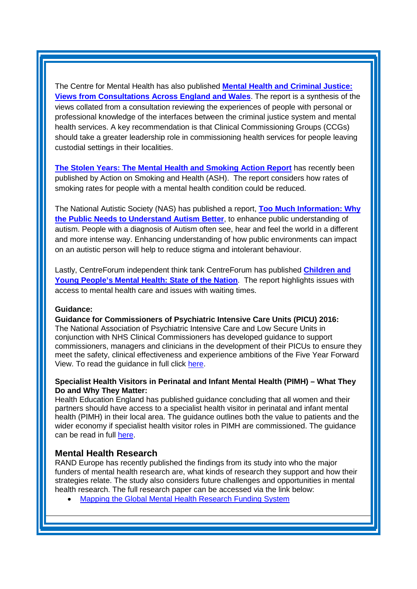The Centre for Mental Health has also published **[Mental Health and Criminal Justice:](http://www.centreformentalhealth.org.uk/mh-criminal-justice)  [Views from Consultations Across England and Wales](http://www.centreformentalhealth.org.uk/mh-criminal-justice)**. The report is a synthesis of the views collated from a consultation reviewing the experiences of people with personal or professional knowledge of the interfaces between the criminal justice system and mental health services. A key recommendation is that Clinical Commissioning Groups (CCGs) should take a greater leadership role in commissioning health services for people leaving custodial settings in their localities.

**[The Stolen Years: The Mental Health and Smoking Action Report](http://www.ash.org.uk/current-policy-issues/health-inequalities/smoking-and-mental-health/the-stolen-years)** has recently been published by Action on Smoking and Health (ASH). The report considers how rates of smoking rates for people with a mental health condition could be reduced.

The National Autistic Society (NAS) has published a report, **[Too Much Information: Why](http://www.autism.org.uk/get-involved/tmi/report.aspx)  [the Public Needs to Understand Autism Better](http://www.autism.org.uk/get-involved/tmi/report.aspx)**, to enhance public understanding of autism. People with a diagnosis of Autism often see, hear and feel the world in a different and more intense way. Enhancing understanding of how public environments can impact on an autistic person will help to reduce stigma and intolerant behaviour.

Lastly, CentreForum independent think tank CentreForum has published **[Children and](http://centreforum.org/publications/children-young-peoples-mental-health-state-nation/)  [Young People's Mental Health: State of the Nation](http://centreforum.org/publications/children-young-peoples-mental-health-state-nation/)**. The report highlights issues with access to mental health care and issues with waiting times.

#### **Guidance:**

**Guidance for Commissioners of Psychiatric Intensive Care Units (PICU) 2016:** The National Association of Psychiatric Intensive Care and Low Secure Units in conjunction with NHS Clinical Commissioners has developed guidance to support commissioners, managers and clinicians in the development of their PICUs to ensure they meet the safety, clinical effectiveness and experience ambitions of the Five Year Forward View. To read the guidance in full click [here.](http://www.nhscc.org/latest-news/4716/)

### **Specialist Health Visitors in Perinatal and Infant Mental Health (PIMH) – What They Do and Why They Matter:**

Health Education England has published guidance concluding that all women and their partners should have access to a specialist health visitor in perinatal and infant mental health (PIMH) in their local area. The guidance outlines both the value to patients and the wider economy if specialist health visitor roles in PIMH are commissioned. The guidance can be read in full [here.](https://www.hee.nhs.uk/sites/default/files/documents/Specialist%20Health%20Visitors%20in%20Perinatal%20and%20Mental%20Health%20FINAL%20low%20res.pdf)

### <span id="page-3-0"></span>**Mental Health Research**

RAND Europe has recently published the findings from its study into who the major funders of mental health research are, what kinds of research they support and how their strategies relate. The study also considers future challenges and opportunities in mental health research. The full research paper can be accessed via the link below:

• [Mapping the Global Mental Health Research Funding System](http://www.rand.org/content/dam/rand/pubs/research_reports/RR1200/RR1271/RAND_RR1271.pdf)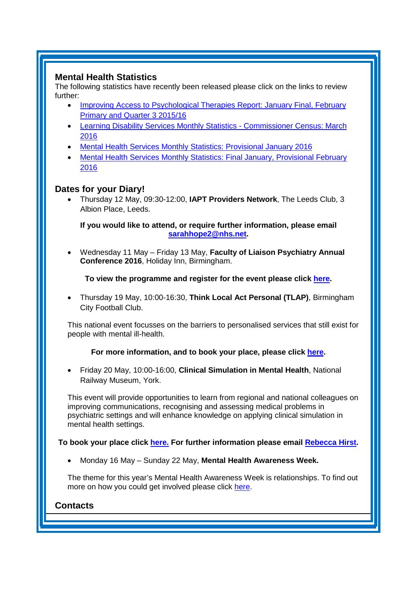## **Mental Health Statistics**

The following statistics have recently been released please click on the links to review further:

- [Improving Access to Psychological Therapies Report: January Final, February](http://www.hscic.gov.uk/catalogue/PUB20519)  [Primary and Quarter 3 2015/16](http://www.hscic.gov.uk/catalogue/PUB20519)
- [Learning Disability Services Monthly Statistics -](http://www.hscic.gov.uk/catalogue/PUB20499) Commissioner Census: March [2016](http://www.hscic.gov.uk/catalogue/PUB20499)
- [Mental Health Services Monthly Statistics: Provisional January 2016](https://www.gov.uk/government/statistics/mental-health-services-monthly-statistics-provisional-january-2016)
- [Mental Health Services Monthly Statistics: Final January, Provisional February](http://www.hscic.gov.uk/catalogue/PUB20526)  [2016](http://www.hscic.gov.uk/catalogue/PUB20526)

# **Dates for your Diary!**

• Thursday 12 May, 09:30-12:00, **IAPT Providers Network**, The Leeds Club, 3 Albion Place, Leeds.

<span id="page-4-0"></span>**If you would like to attend, or require further information, please email [sarahhope2@nhs.net.](mailto:sarahhope2@nhs.net)**

• Wednesday 11 May – Friday 13 May, **Faculty of Liaison Psychiatry Annual Conference 2016**, Holiday Inn, Birmingham.

**To view the programme and register for the event please click [here.](http://www.rcpsych.ac.uk/traininpsychiatry/conferencestraining/conferences/liaisonconference2016.aspx)**

• Thursday 19 May, 10:00-16:30, **Think Local Act Personal (TLAP)**, Birmingham City Football Club.

This national event focusses on the barriers to personalised services that still exist for people with mental ill-health.

## **For more information, and to book your place, please click [here.](http://www.thinklocalactpersonal.org.uk/Events/Detail/?eventID=736)**

• Friday 20 May, 10:00-16:00, **Clinical Simulation in Mental Health**, National Railway Museum, York.

This event will provide opportunities to learn from regional and national colleagues on improving communications, recognising and assessing medical problems in psychiatric settings and will enhance knowledge on applying clinical simulation in mental health settings.

### **To book your place click [here.](https://www.eventbrite.co.uk/e/clinical-simulation-in-mental-health-conference-tickets-24080071141) For further information please email [Rebecca Hirst.](mailto:rebecca.hirst@yh.hee.nhs.uk)**

• Monday 16 May – Sunday 22 May, **Mental Health Awareness Week.**

The theme for this year's Mental Health Awareness Week is relationships. To find out more on how you could get involved please click [here.](https://www.mentalhealth.org.uk/campaigns/mental-health-awareness-week)

## **Contacts**